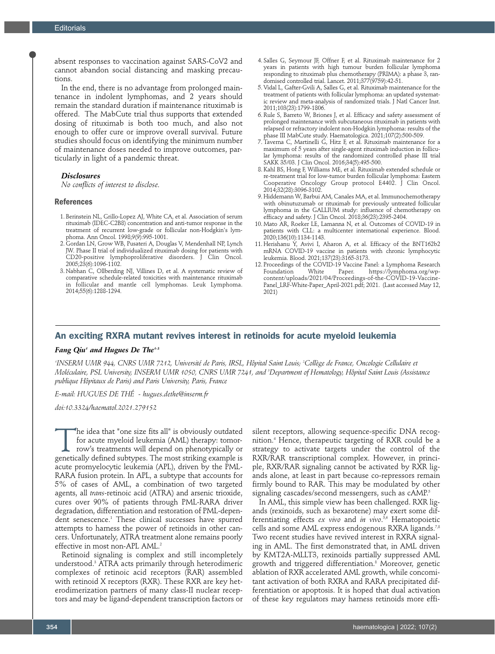absent responses to vaccination against SARS-CoV2 and cannot abandon social distancing and masking precautions.

In the end, there is no advantage from prolonged maintenance in indolent lymphomas, and 2 years should remain the standard duration if maintenance rituximab is offered. The MabCute trial thus supports that extended dosing of rituximab is both too much, and also not enough to offer cure or improve overall survival. Future studies should focus on identifying the minimum number of maintenance doses needed to improve outcomes, particularly in light of a pandemic threat.

#### *Disclosures*

*No conflicts of interest to disclose.* 

#### **References**

- 1. Berinstein NL, Grillo-Lopez AJ, White CA, et al. Association of serum rituximab (IDEC-C2B8) concentration and anti-tumor response in the treatment of recurrent low-grade or follicular non-Hodgkin's lymphoma. Ann Oncol. 1998;9(9):995-1001.
- 2. Gordan LN, Grow WB, Pusateri A, Douglas V, Mendenhall NP, Lynch JW. Phase II trial of individualized rituximab dosing for patients with CD20-positive lymphoproliferative disorders. J Clin Oncol. 2005;23(6):1096-1102.
- 3. Nabhan C, Ollberding NJ, Villines D, et al. A systematic review of comparative schedule-related toxicities with maintenance rituximab in follicular and mantle cell lymphomas. Leuk Lymphoma. 2014;55(6):1288-1294.
- 4. Salles G, Seymour JF, Offner F, et al. Rituximab maintenance for 2 years in patients with high tumour burden follicular lymphoma responding to rituximab plus chemotherapy (PRIMA): a phase 3, randomised controlled trial. Lancet. 2011;377(9759):42-51.
- 5. Vidal L, Gafter-Gvili A, Salles G, et al. Rituximab maintenance for the treatment of patients with follicular lymphoma: an updated systematic review and meta-analysis of randomized trials. J Natl Cancer Inst. 2011;103(23):1799-1806.
- 6. Rule S, Barreto W, Briones J, et al. Efficacy and safety assessment of prolonged maintenance with subcutaneous rituximab in patients with relapsed or refractory indolent non-Hodgkin lymphoma: results of the phase III MabCute study. Haematologica. 2021;107(2):500-509.
- 7. Taverna C, Martinelli G, Hitz F, et al. Rituximab maintenance for a maximum of 5 years after single-agent rituximab induction in follicular lymphoma: results of the randomized controlled phase III trial SAKK 35/03. J Clin Oncol. 2016;34(5):495-500.
- 8. Kahl BS, Hong F, Williams ME, et al. Rituximab extended schedule or re-treatment trial for low-tumor burden follicular lymphoma: Eastern Cooperative Oncology Group protocol E4402. J Clin Oncol. 2014;32(28):3096-3102.
- 9. Hiddemann W, Barbui AM, Canales MA, et al. Immunochemotherapy with obinutuzumab or rituximab for previously untreated follicular lymphoma in the GALLIUM study: influence of chemotherapy on efficacy and safety. J Clin Oncol. 2018;36(23):2395-2404.
- 10. Mato AR, Roeker LE, Lamanna N, et al. Outcomes of COVID-19 in patients with CLL: a multicenter international experience. Blood. 2020;136(10):1134-1143.
- 11. Herishanu Y, Avivi I, Aharon A, et al. Efficacy of the BNT162b2 mRNA COVID-19 vaccine in patients with chronic lymphocytic leukemia. Blood. 2021;137(23):3165-3173.
- 12. Proceedings of the COVID-19 Vaccine Panel: a Lymphoma Research Foundation White Paper. https://lymphoma.org/wpcontent/uploads/2021/04/Proceedings-of-the-COVID-19-Vaccine-Panel\_LRF-White-Paper\_April-2021.pdf; 2021. (Last accessed May 12, 2021)

# An exciting RXRA mutant revives interest in retinoids for acute myeloid leukemia

## *Fang Qiu1 and Hugues De The1-3*

*1 INSERM UMR 944, CNRS UMR 7212, Université de Paris, IRSL, Hôpital Saint Louis; 2 Collège de France, Oncologie Cellulaire et Moléculaire, PSL University, INSERM UMR 1050, CNRS UMR 7241, and 3 Department of Hematology, Hôpital Saint Louis (Assistance publique Hôpitaux de Paris) and Paris University, Paris, France* 

*E-mail: HUGUES DE THÉ - hugues.dethe@inserm.fr* 

*doi:10.3324/haematol.2021.279152*

The idea that "one size fits all" is obviously outdated for acute myeloid leukemia (AML) therapy: tomorrow's treatments will depend on phenotypically or genetically defined subtypes. The most striking example is for acute myeloid leukemia (AML) therapy: tomorrow's treatments will depend on phenotypically or acute promyelocytic leukemia (APL), driven by the PML-RARA fusion protein. In APL, a subtype that accounts for 5% of cases of AML, a combination of two targeted agents, all *trans*-retinoic acid (ATRA) and arsenic trioxide, cures over 90% of patients through PML-RARA driver degradation, differentiation and restoration of PML-dependent senescence.1 These clinical successes have spurred attempts to harness the power of retinoids in other cancers. Unfortunately, ATRA treatment alone remains poorly effective in most non-APL AML.<sup>2</sup>

Retinoid signaling is complex and still incompletely understood.3 ATRA acts primarily through heterodimeric complexes of retinoic acid receptors (RAR) assembled with retinoid X receptors (RXR). These RXR are key heterodimerization partners of many class-II nuclear receptors and may be ligand-dependent transcription factors or silent receptors, allowing sequence-specific DNA recognition.4 Hence, therapeutic targeting of RXR could be a strategy to activate targets under the control of the RXR/RAR transcriptional complex. However, in principle, RXR/RAR signaling cannot be activated by RXR ligands alone, at least in part because co-repressors remain firmly bound to RAR. This may be modulated by other signaling cascades/second messengers, such as cAMP.<sup>5</sup>

In AML, this simple view has been challenged. RXR ligands (rexinoids, such as bexarotene) may exert some differentiating effects *ex vivo* and *in vivo*. 5,6 Hematopoietic cells and some AML express endogenous RXRA ligands.<sup>7,8</sup> Two recent studies have revived interest in RXRA signaling in AML. The first demonstrated that, in AML driven by KMT2A-MLLT3, rexinoids partially suppressed AML growth and triggered differentiation.8 Moreover, genetic ablation of RXR accelerated AML growth, while concomitant activation of both RXRA and RARA precipitated differentiation or apoptosis. It is hoped that dual activation of these key regulators may harness retinoids more effi-